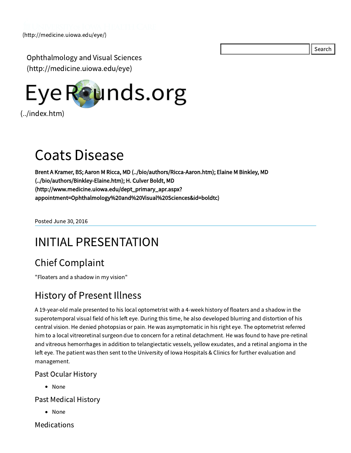Search

Ophthalmology and Visual Sciences [\(http://medicine.uiowa.edu/eye\)](http://medicine.uiowa.edu/eye)



# Coats Disease

Brent A Kramer, BS; Aaron M Ricca, MD [\(../bio/authors/Ricca-Aaron.htm\)](file:///Volumes/Blue/Sites/eyeforum/bio/authors/Ricca-Aaron.htm); Elaine M Binkley, MD [\(../bio/authors/Binkley-Elaine.htm\);](file:///Volumes/Blue/Sites/eyeforum/bio/authors/Binkley-Elaine.htm) H. Culver Boldt, MD (http://www.medicine.uiowa.edu/dept\_primary\_apr.aspx? [appointment=Ophthalmology%20and%20Visual%20Sciences&id=boldtc\)](http://www.medicine.uiowa.edu/dept_primary_apr.aspx?appointment=Ophthalmology%20and%20Visual%20Sciences&id=boldtc)

Posted June 30, 2016

# INITIAL PRESENTATION

## Chief Complaint

"Floaters and a shadow in my vision"

### History of Present Illness

A 19-year-old male presented to his local optometrist with a 4-week history of floaters and a shadow in the superotemporal visual field of his left eye. During this time, he also developed blurring and distortion of his central vision. He denied photopsias or pain. He was asymptomatic in his right eye. The optometrist referred him to a local vitreoretinal surgeon due to concern for a retinal detachment. He was found to have pre-retinal and vitreous hemorrhages in addition to telangiectatic vessels, yellow exudates, and a retinal angioma in the left eye. The patient was then sent to the University of Iowa Hospitals & Clinics for further evaluation and management.

#### Past Ocular History

• None

Past Medical History

None

Medications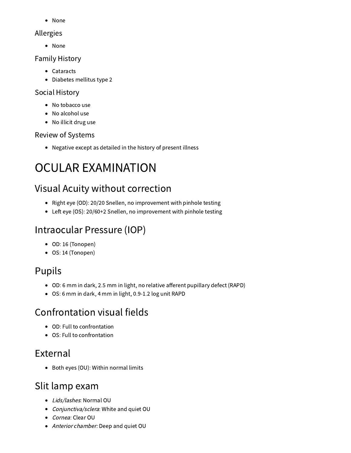• None

#### Allergies

• None

#### Family History

- Cataracts
- Diabetes mellitus type 2

#### Social History

- No tobacco use
- No alcohol use
- No illicit drug use

#### Review of Systems

Negative except as detailed in the history of present illness

# OCULAR EXAMINATION

## Visual Acuity without correction

- Right eye (OD): 20/20 Snellen, no improvement with pinhole testing
- Left eye (OS): 20/60+2 Snellen, no improvement with pinhole testing

## Intraocular Pressure (IOP)

- OD: 16 (Tonopen)
- OS: 14 (Tonopen)

## Pupils

- OD: 6 mm in dark, 2.5 mm in light, no relative afferent pupillary defect (RAPD)
- OS: 6 mm in dark, 4 mm in light, 0.9-1.2 log unit RAPD

## Confrontation visual fields

- OD: Full to confrontation
- OS: Full to confrontation

## External

Both eyes (OU): Within normal limits

## Slit lamp exam

- Lids/lashes: Normal OU
- Conjunctiva/sclera: White and quiet OU
- Cornea: Clear OU
- Anterior chamber: Deep and quiet OU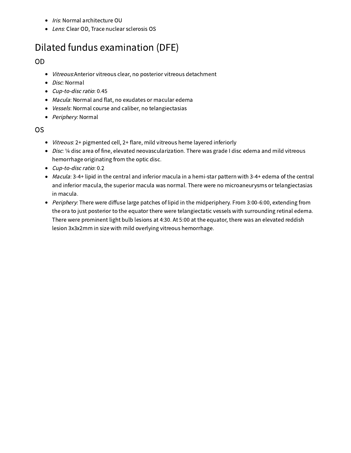- Iris: Normal architecture OU
- Lens: Clear OD, Trace nuclear sclerosis OS

## Dilated fundus examination (DFE)

#### OD

- $\bullet$ Vitreous:Anterior vitreous clear, no posterior vitreous detachment
- Disc: Normal
- Cup-to-disc ratio: 0.45
- Macula: Normal and flat, no exudates or macular edema
- Vessels: Normal course and caliber, no telangiectasias
- Periphery: Normal

#### OS

- Vitreous: 2+ pigmented cell, 2+ flare, mild vitreous heme layered inferiorly  $\bullet$
- Disc: 1/4 disc area of fine, elevated neovascularization. There was grade I disc edema and mild vitreous hemorrhage originating from the optic disc.
- Cup-to-disc ratio: 0.2  $\bullet$
- Macula: 3-4+ lipid in the central and inferior macula in a hemi-star pattern with 3-4+ edema of the central  $\bullet$ and inferior macula, the superior macula was normal. There were no microaneurysms or telangiectasias in macula.
- Periphery: There were diffuse large patches of lipid in the midperiphery. From 3:00-6:00, extending from the ora to just posterior to the equator there were telangiectatic vessels with surrounding retinal edema. There were prominent light bulb lesions at 4:30. At 5:00 at the equator, there was an elevated reddish lesion 3x3x2mm in size with mild overlying vitreous hemorrhage.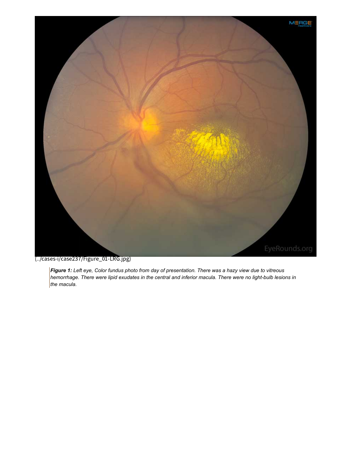

[\(../cases-i/case237/Figure\\_01-LRG.jpg\)](file:///Volumes/Blue/Sites/eyeforum/cases-i/case237/Figure_01-LRG.jpg)

Figure 1: Left eye, Color fundus photo from day of presentation. There was a hazy view due to vitreous *hemorrhage. There were lipid exudates in the central and inferior macula. There were no light-bulb lesions in the macula.*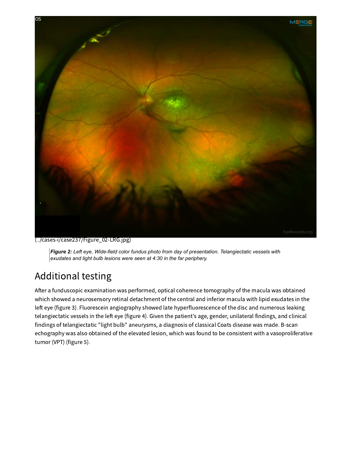

[\(../cases-i/case237/Figure\\_02-LRG.jpg\)](file:///Volumes/Blue/Sites/eyeforum/cases-i/case237/Figure_02-LRG.jpg)

*Figure 2: Left eye, Wide-field color fundus photo from day of presentation. Telangiectatic vessels with exudates and light bulb lesions were seen at 4:30 in the far periphery.*

## Additional testing

After a funduscopic examination was performed, optical coherence tomography of the macula was obtained which showed a neurosensory retinal detachment of the central and inferior macula with lipid exudates in the left eye (figure 3). Fluorescein angiography showed late hyperfluorescence of the disc and numerous leaking telangiectatic vessels in the left eye (figure 4). Given the patient's age, gender, unilateral findings, and clinical findings of telangiectatic "light bulb" aneurysms, a diagnosis of classical Coats disease was made. B-scan echography was also obtained of the elevated lesion, which was found to be consistent with a vasoproliferative tumor (VPT) (figure 5).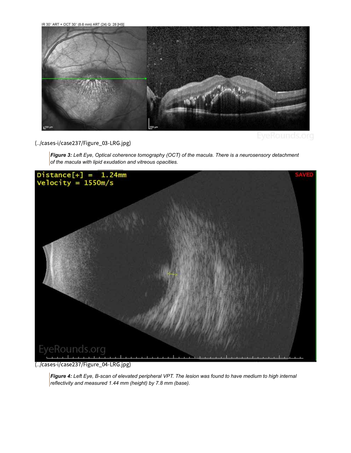IR 30° ART + OCT 30° (8.6 mm) ART (24) Q: 28 [HS]



[\(../cases-i/case237/Figure\\_03-LRG.jpg\)](file:///Volumes/Blue/Sites/eyeforum/cases-i/case237/Figure_03-LRG.jpg)

*Figure 3: Left Eye, Optical coherence tomography (OCT) of the macula. There is a neurosensory detachment of the macula with lipid exudation and vitreous opacities.*



[\(../cases-i/case237/Figure\\_04-LRG.jpg\)](file:///Volumes/Blue/Sites/eyeforum/cases-i/case237/Figure_04-LRG.jpg)

Figure 4: Left Eye, B-scan of elevated peripheral VPT. The lesion was found to have medium to high internal *reflectivity and measured 1.44 mm (height) by 7.8 mm (base).*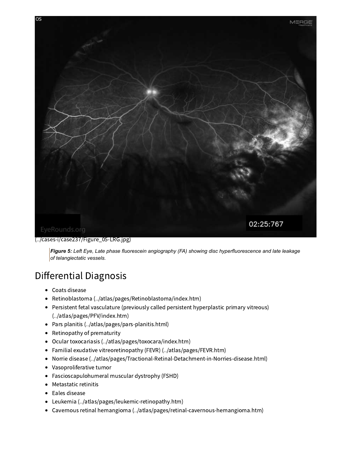

#### [\(../cases-i/case237/Figure\\_05-LRG.jpg\)](file:///Volumes/Blue/Sites/eyeforum/cases-i/case237/Figure_05-LRG.jpg)

*Figure 5: Left Eye, Late phase fluorescein angiography (FA) showing disc hyperfluorescence and late leakage of telangiectatic vessels.*

### Differential Diagnosis

- Coats disease
- Retinoblastoma [\(../atlas/pages/Retinoblastoma/index.htm\)](file:///Volumes/Blue/Sites/eyeforum/atlas/pages/Retinoblastoma/index.htm)
- Persistent fetal vasculature (previously called persistent hyperplastic primary vitreous) [\(../atlas/pages/PFV/index.htm\)](file:///Volumes/Blue/Sites/eyeforum/atlas/pages/PFV/index.htm)
- Pars planitis [\(../atlas/pages/pars-planitis.html\)](file:///Volumes/Blue/Sites/eyeforum/atlas/pages/pars-planitis.html)
- Retinopathy of prematurity
- Ocular toxocariasis [\(../atlas/pages/toxocara/index.htm\)](file:///Volumes/Blue/Sites/eyeforum/atlas/pages/toxocara/index.htm)
- Familial exudative vitreoretinopathy (FEVR) [\(../atlas/pages/FEVR.htm\)](file:///Volumes/Blue/Sites/eyeforum/atlas/pages/FEVR.htm)
- Norrie disease [\(../atlas/pages/Tractional-Retinal-Detachment-in-Norries-disease.html\)](file:///Volumes/Blue/Sites/eyeforum/atlas/pages/Tractional-Retinal-Detachment-in-Norries-disease.html)
- Vasoproliferative tumor
- Fascioscapulohumeral muscular dystrophy (FSHD)
- Metastatic retinitis
- Eales disease
- Leukemia [\(../atlas/pages/leukemic-retinopathy.htm\)](file:///Volumes/Blue/Sites/eyeforum/atlas/pages/leukemic-retinopathy.htm)
- Cavernous retinal hemangioma [\(../atlas/pages/retinal-cavernous-hemangioma.htm\)](file:///Volumes/Blue/Sites/eyeforum/atlas/pages/retinal-cavernous-hemangioma.htm)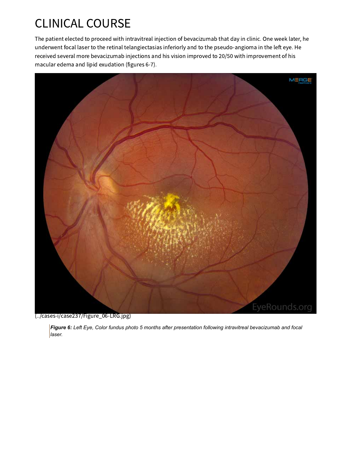# CLINICAL COURSE

The patient elected to proceed with intravitreal injection of bevacizumab that day in clinic. One week later, he underwent focal laser to the retinal telangiectasias inferiorly and to the pseudo-angioma in the left eye. He received several more bevacizumab injections and his vision improved to 20/50 with improvement of his macular edema and lipid exudation (figures 6-7).



[\(../cases-i/case237/Figure\\_06-LRG.jpg\)](file:///Volumes/Blue/Sites/eyeforum/cases-i/case237/Figure_06-LRG.jpg)

*Figure 6: Left Eye, Color fundus photo 5 months after presentation following intravitreal bevacizumab and focal laser.*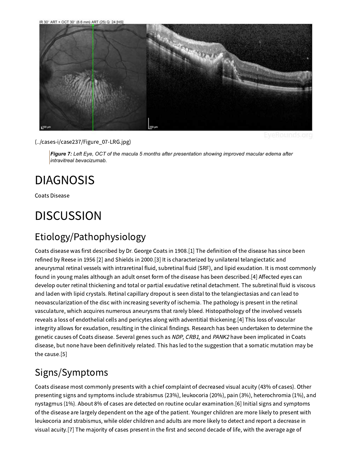

[\(../cases-i/case237/Figure\\_07-LRG.jpg\)](file:///Volumes/Blue/Sites/eyeforum/cases-i/case237/Figure_07-LRG.jpg)

*Figure 7: Left Eye, OCT of the macula 5 months after presentation showing improved macular edema after intravitreal bevacizumab.*

# DIAGNOSIS

Coats Disease

# **DISCUSSION**

## Etiology/Pathophysiology

Coats disease was first described by Dr. George Coats in 1908.[1] The definition of the disease has since been refined by Reese in 1956 [2] and Shields in 2000.[3] It is characterized by unilateral telangiectatic and aneurysmal retinal vessels with intraretinal fluid, subretinal fluid (SRF), and lipid exudation. It is most commonly found in young males although an adult onset form of the disease has been described.[4] Affected eyes can develop outer retinal thickening and total or partial exudative retinal detachment. The subretinal fluid is viscous and laden with lipid crystals. Retinal capillary dropout is seen distal to the telangiectasias and can lead to neovascularization of the disc with increasing severity of ischemia. The pathology is present in the retinal vasculature, which acquires numerous aneurysms that rarely bleed. Histopathology of the involved vessels reveals a loss of endothelial cells and pericytes along with adventitial thickening.[4] This loss of vascular integrity allows for exudation, resulting in the clinical findings. Research has been undertaken to determine the genetic causes of Coats disease. Several genes such as NDP, CRB1, and PANK2 have been implicated in Coats disease, but none have been definitively related. This has led to the suggestion that a somatic mutation may be the cause.[5]

## Signs/Symptoms

Coats disease most commonly presents with a chief complaint of decreased visual acuity (43% of cases). Other presenting signs and symptoms include strabismus (23%), leukocoria (20%), pain (3%), heterochromia (1%), and nystagmus (1%). About 8% of cases are detected on routine ocular examination.[6] Initial signs and symptoms of the disease are largely dependent on the age of the patient. Younger children are more likely to present with leukocoria and strabismus, while older children and adults are more likely to detect and report a decrease in visual acuity.[7] The majority of cases present in the first and second decade of life, with the average age of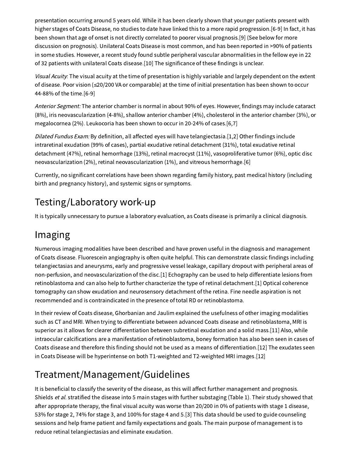presentation occurring around 5 years old. While it has been clearly shown that younger patients present with higher stages of Coats Disease, no studies to date have linked this to a more rapid progression.[6-9] In fact, it has been shown that age of onset is not directly correlated to poorer visual prognosis.[9] (See below for more discussion on prognosis). Unilateral Coats Disease is most common, and has been reported in >90% of patients in some studies. However, a recent study found subtle peripheral vascular abnormalities in the fellow eye in 22 of 32 patients with unilateral Coats disease.[10] The significance of these findings is unclear.

Visual Acuity: The visual acuity at the time of presentation is highly variable and largely dependent on the extent of disease. Poor vision (≤20/200 VA or comparable) at the time of initial presentation has been shown to occur 44-88% of the time.[6-9]

Anterior Segment: The anterior chamber is normal in about 90% of eyes. However, findings may include cataract (8%), iris neovascularization (4-8%), shallow anterior chamber (4%), cholesterol in the anterior chamber (3%), or megalocornea (2%). Leukocoria has been shown to occur in 20-24% of cases.[6,7]

Dilated Fundus Exam: By definition, all affected eyes will have telangiectasia.[1,2] Other findings include intraretinal exudation (99% of cases), partial exudative retinal detachment (31%), total exudative retinal detachment (47%), retinal hemorrhage (13%), retinal macrocyst (11%), vasoproliferative tumor (6%), optic disc neovascularization (2%), retinal neovascularization (1%), and vitreous hemorrhage.[6]

Currently, no significant correlations have been shown regarding family history, past medical history (including birth and pregnancy history), and systemic signs or symptoms.

## Testing/Laboratory work-up

It is typically unnecessary to pursue a laboratory evaluation, as Coats disease is primarily a clinical diagnosis.

## Imaging

Numerous imaging modalities have been described and have proven useful in the diagnosis and management of Coats disease. Fluorescein angiography is often quite helpful. This can demonstrate classic findings including telangiectasias and aneurysms, early and progressive vessel leakage, capillary dropout with peripheral areas of non-perfusion, and neovascularization of the disc.[1] Echography can be used to help differentiate lesions from retinoblastoma and can also help to further characterize the type of retinal detachment.[1] Optical coherence tomography can show exudation and neurosensory detachment of the retina. Fine needle aspiration is not recommended and is contraindicated in the presence of total RD or retinoblastoma.

In their review of Coats disease, Ghorbanian and Jaulim explained the usefulness of other imaging modalities such as CT and MRI. When trying to differentiate between advanced Coats disease and retinoblastoma, MRI is superior as it allows for clearer differentiation between subretinal exudation and a solid mass.[11] Also, while intraocular calcifications are a manifestation of retinoblastoma, boney formation has also been seen in cases of Coats disease and therefore this finding should not be used as a means of differentiation.[12] The exudates seen in Coats Disease will be hyperintense on both T1-weighted and T2-weighted MRI images.[12]

## Treatment/Management/Guidelines

It is beneficial to classify the severity of the disease, as this will affect further management and prognosis. Shields et al. stratified the disease into 5 main stages with further substaging (Table 1). Their study showed that after appropriate therapy, the final visual acuity was worse than 20/200 in 0% of patients with stage 1 disease, 53% for stage 2, 74% for stage 3, and 100% for stage 4 and 5.[3] This data should be used to guide counseling sessions and help frame patient and family expectations and goals. The main purpose of management is to reduce retinal telangiectasias and eliminate exudation.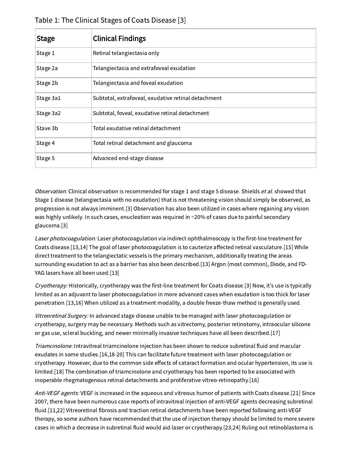| <b>Stage</b> | <b>Clinical Findings</b>                            |
|--------------|-----------------------------------------------------|
| Stage 1      | Retinal telangiectasia only                         |
| Stage 2a     | Telangiectasia and extrafoveal exudation            |
| Stage 2b     | Telangiectasia and foveal exudation                 |
| Stage 3a1    | Subtotal, extrafoveal, exudative retinal detachment |
| Stage 3a2    | Subtotal, foveal, exudative retinal detachment      |
| Stave 3b     | Total exudative retinal detachment                  |
| Stage 4      | Total retinal detachment and glaucoma               |
| Stage 5      | Advanced end-stage disease                          |

Table 1: The Clinical Stages of Coats Disease [3]

Observation: Clinical observation is recommended for stage 1 and stage 5 disease. Shields et al. showed that Stage 1 disease (telangiectasia with no exudation) that is not threatening vision should simply be observed, as progression is not always imminent.[3] Observation has also been utilized in cases where regaining any vision was highly unlikely. In such cases, enucleation was required in ~20% of cases due to painful secondary glaucoma.[3]

Laser photocoagulation: Laser photocoagulation via indirect ophthalmoscopy is the first-line treatment for Coats disease.[13,14] The goal of laser photocoagulation is to cauterize affected retinal vasculature.[15] While direct treatment to the telangiectatic vessels is the primary mechanism, additionally treating the areas surrounding exudation to act as a barrier has also been described.[13] Argon (most common), Diode, and FD-YAG lasers have all been used.[13]

Cryotherapy: Historically, cryotherapy was the first-line treatment for Coats disease.[3] Now, it's use is typically limited as an adjuvant to laser photocoagulation in more advanced cases when exudation is too thick for laser penetration.[13,16] When utilized as a treatment modality, a double freeze-thaw method is generally used.

Vitreoretinal Surgery: In advanced stage disease unable to be managed with laser photocoagulation or cryotherapy, surgery may be necessary. Methods such as vitrectomy, posterior retinotomy, intraocular silicone or gas use, scleral buckling, and newer minimally invasive techniques have all been described.[17]

Triamcinolone: Intravitreal triamcinolone injection has been shown to reduce subretinal fluid and macular exudates in some studies.[16,18-20] This can facilitate future treatment with laser photocoagulation or cryotherapy. However, due to the common side effects of cataract formation and ocular hypertension, its use is limited.[18] The combination of triamcinolone and cryotherapy has been reported to be associated with inoperable rhegmatogenous retinal detachments and proliferative vitreo-retinopathy.[16]

Anti-VEGF agents: VEGF is increased in the aqueous and vitreous humor of patients with Coats disease.[21] Since 2007, there have been numerous case reports of intravitreal injection of anti-VEGF agents decreasing subretinal fluid.[11,22] Vitreoretinal fibrosis and traction retinal detachments have been reported following anti-VEGF therapy, so some authors have recommended that the use of injection therapy should be limited to more severe cases in which a decrease in subretinal fluid would aid laser or cryotherapy.[23,24] Ruling out retinoblastoma is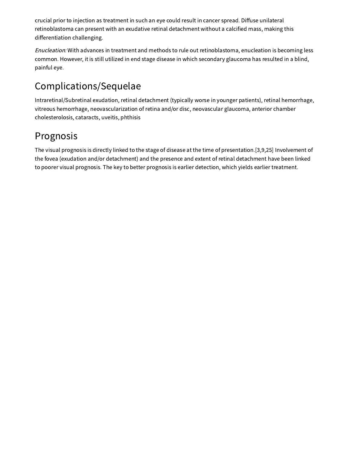crucial prior to injection as treatment in such an eye could result in cancer spread. Diffuse unilateral retinoblastoma can present with an exudative retinal detachment without a calcified mass, making this differentiation challenging.

Enucleation: With advances in treatment and methods to rule out retinoblastoma, enucleation is becoming less common. However, it is still utilized in end stage disease in which secondary glaucoma has resulted in a blind, painful eye.

## Complications/Sequelae

Intraretinal/Subretinal exudation, retinal detachment (typically worse in younger patients), retinal hemorrhage, vitreous hemorrhage, neovascularization of retina and/or disc, neovascular glaucoma, anterior chamber cholesterolosis, cataracts, uveitis, phthisis

### Prognosis

The visual prognosis is directly linked to the stage of disease at the time of presentation.[3,9,25] Involvement of the fovea (exudation and/or detachment) and the presence and extent of retinal detachment have been linked to poorer visual prognosis. The key to better prognosis is earlier detection, which yields earlier treatment.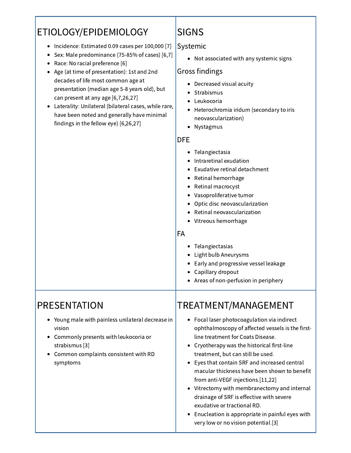## ETIOLOGY/EPIDEMIOLOGY

- Incidence: Estimated 0.09 cases per 100,000 [7]
- Sex: Male predominance (75-85% of cases) [6,7]
- Race: No racial preference [6]
- Age (at time of presentation): 1st and 2nd decades of life most common age at presentation (median age 5-8 years old), but can present at any age [6,7,26,27]
- Laterality: Unilateral (bilateral cases, while rare, have been noted and generally have minimal findings in the fellow eye) [6,26,27]

## SIGNS

#### Systemic

Not associated with any systemic signs

#### Gross findings

- Decreased visual acuity
- Strabismus
- Leukocoria
- Heterochromia iridum (secondary to iris neovascularization)
- Nystagmus

#### DFE

- Telangiectasia
- Intraretinal exudation
- Exudative retinal detachment
- Retinal hemorrhage
- Retinal macrocyst
- Vasoproliferative tumor
- Optic disc neovascularization
- Retinal neovascularization
- Vitreous hemorrhage

#### FA

- Telangiectasias
- Light bulb Aneurysms
- Early and progressive vessel leakage
- Capillary dropout
- Areas of non-perfusion in periphery

## PRESENTATION

- Young male with painless unilateral decrease in vision
- Commonly presents with leukocoria or strabismus [3]
- Common complaints consistent with RD symptoms

## TREATMENT/MANAGEMENT

- Focal laser photocoagulation via indirect ophthalmoscopy of affected vessels is the firstline treatment for Coats Disease.
- Cryotherapy was the historical first-line treatment, but can still be used.
- Eyes that contain SRF and increased central macular thickness have been shown to benefit from anti-VEGF injections.[11,22]
- Vitrectomy with membranectomy and internal drainage of SRF is effective with severe exudative or tractional RD.
- Enucleation is appropriate in painful eyes with very low or no vision potential.[3]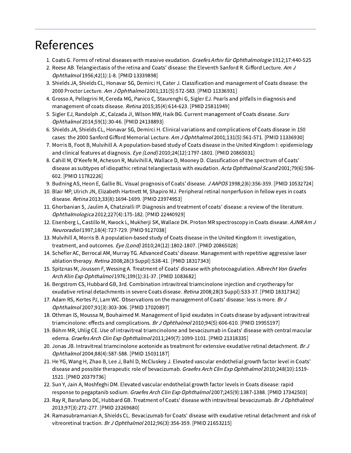# References

- 1. Coats G. Forms of retinal diseases with massive exudation. Graefes Arhiv für Ophthalmologie 1912;17:440-525
- 2. Reese AB. Telangiectasis of the retina and Coats' disease: the Eleventh Sanford R. Gifford Lecture. Am J Ophthalmol 1956;42(1):1-8. [PMID 13339898]
- 3. Shields JA, Shields CL, Honavar SG, Demirci H, Cater J. Classification and management of Coats disease: the 2000 Proctor Lecture. Am <sup>J</sup> Ophthalmol 2001;131(5):572-583. [PMID 11336931]
- 4. Grosso A, Pellegrini M, Cereda MG, Panico C, Staurenghi G, Sigler EJ. Pearls and pitfalls in diagnosis and management of coats disease. Retina 2015;35(4):614-623. [PMID 25811949]
- 5. Sigler EJ, Randolph JC, Calzada JI, Wilson MW, Haik BG. Current management of Coats disease. Surv Ophthalmol 2014;59(1):30-46. [PMID 24138893]
- 6. Shields JA, Shields CL, Honavar SG, Demirci H. Clinical variations and complications of Coats disease in 150 cases: the 2000 Sanford Gifford Memorial Lecture. Am <sup>J</sup> Ophthalmol 2001;131(5):561-571. [PMID 11336930]
- 7. Morris B, Foot B, Mulvihill A. A population-based study of Coats disease in the United Kingdom I: epidemiology and clinical features at diagnosis. Eye (Lond) 2010;24(12):1797-1801. [PMID 20865031]
- 8. Cahill M, O'Keefe M, Acheson R, Mulvihill A, Wallace D, Mooney D. Classification of the spectrum of Coats' disease as subtypes of idiopathic retinal telangiectasis with exudation. Acta Ophthalmol Scand 2001;79(6):596-602. [PMID 11782226]
- 9. Budning AS, Heon E, Gallie BL. Visual prognosis of Coats' disease. <sup>J</sup> AAPOS 1998;2(6):356-359. [PMID 10532724]
- 10. Blair MP, Ulrich JN, Elizabeth Hartnett M, Shapiro MJ. Peripheral retinal nonperfusion in fellow eyes in coats disease. Retina 2013;33(8):1694-1699. [PMID 23974953]
- 11. Ghorbanian S, Jaulim A, Chatziralli IP. Diagnosis and treatment of coats' disease: a review of the literature. Ophthalmologica 2012;227(4):175-182. [PMID 22440929]
- 12. Eisenberg L, Castillo M, Kwock L, Mukherji SK, Wallace DK. Proton MR spectroscopy in Coats disease. AJNR Am J Neuroradiol 1997;18(4):727-729. [PMID 9127038]
- 13. Mulvihill A, Morris B. A population-based study of Coats disease in the United Kingdom II: investigation, treatment, and outcomes. Eye (Lond) 2010;24(12):1802-1807. [PMID 20865028]
- 14. Schefler AC, Berrocal AM, Murray TG. Advanced Coats' disease. Management with repetitive aggressive laser ablation therapy. Retina 2008;28(3 Suppl):S38-41. [PMID 18317343]
- 15. Spitznas M, Joussen F, Wessing A. Treatment of Coats' disease with photocoagulation. Albrecht Von Graefes Arch Klin Exp Ophthalmol 1976;199(1):31-37. [PMID 1083682]
- 16. Bergstrom CS, Hubbard GB, 3rd. Combination intravitreal triamcinolone injection and cryotherapy for exudative retinal detachments in severe Coats disease. Retina 2008;28(3 Suppl):S33-37. [PMID 18317342]
- 17. Adam RS, Kertes PJ, Lam WC. Observations on the management of Coats' disease: less is more. Br J Ophthalmol 2007;91(3):303-306. [PMID 17020897]
- 18. Othman IS, Moussa M, Bouhaimed M. Management of lipid exudates in Coats disease by adjuvant intravitreal triamcinolone: effects and complications. Br J Ophthalmol 2010;94(5):606-610. [PMID 19955197]
- 19. Böhm MR, Uhlig CE. Use of intravitreal triamcinolone and bevacizumab in Coats' disease with central macular edema. Graefes Arch Clin Exp Ophthalmol 2011;249(7):1099-1101. [PMID 21318335]
- 20. Jonas JB. Intravitreal triamcinolone acetonide as treatment for extensive exudative retinal detachment. Br J Ophthalmol 2004;88(4):587-588. [PMID 15031187]
- 21. He YG, Wang H, Zhao B, Lee J, Bahl D, McCluskey J. Elevated vascular endothelial growth factor level in Coats' disease and possible therapeutic role of bevacizumab. Graefes Arch Clin Exp Ophthalmol 2010;248(10):1519-1521. [PMID 20379736]
- 22. Sun Y, Jain A, Moshfeghi DM. Elevated vascular endothelial growth factor levels in Coats disease: rapid response to pegaptanib sodium. Graefes Arch Clin Exp Ophthalmol 2007;245(9):1387-1388. [PMID 17342503]
- 23. Ray R, Barañano DE, Hubbard GB. Treatment of Coats' disease with intravitreal bevacizumab. Br J Ophthalmol 2013;97(3):272-277. [PMID 23269680]
- 24. Ramasubramanian A, Shields CL. Bevacizumab for Coats' disease with exudative retinal detachment and risk of vitreoretinal traction. Br <sup>J</sup> Ophthalmol 2012;96(3):356-359. [PMID 21653215]